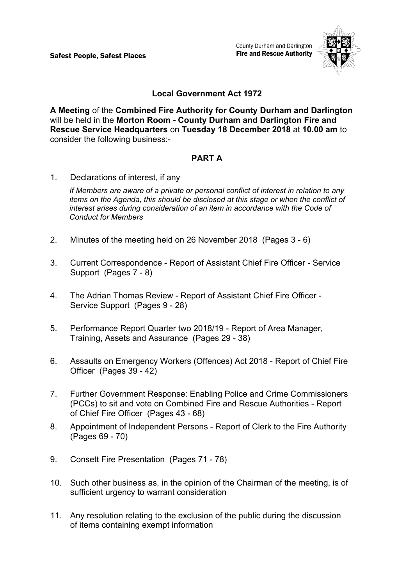Safest People, Safest Places

County Durham and Darlington **Fire and Rescue Authority** 



## **Local Government Act 1972**

**A Meeting** of the **Combined Fire Authority for County Durham and Darlington** will be held in the **Morton Room - County Durham and Darlington Fire and Rescue Service Headquarters** on **Tuesday 18 December 2018** at **10.00 am** to consider the following business:-

# **PART A**

1. Declarations of interest, if any

*If Members are aware of a private or personal conflict of interest in relation to any items on the Agenda, this should be disclosed at this stage or when the conflict of interest arises during consideration of an item in accordance with the Code of Conduct for Members*

- 2. Minutes of the meeting held on 26 November 2018(Pages 3 6)
- 3. Current Correspondence Report of Assistant Chief Fire Officer Service Support(Pages 7 - 8)
- 4. The Adrian Thomas Review Report of Assistant Chief Fire Officer Service Support(Pages 9 - 28)
- 5. Performance Report Quarter two 2018/19 Report of Area Manager, Training, Assets and Assurance(Pages 29 - 38)
- 6. Assaults on Emergency Workers (Offences) Act 2018 Report of Chief Fire Officer(Pages 39 - 42)
- 7. Further Government Response: Enabling Police and Crime Commissioners (PCCs) to sit and vote on Combined Fire and Rescue Authorities - Report of Chief Fire Officer(Pages 43 - 68)
- 8. Appointment of Independent Persons Report of Clerk to the Fire Authority (Pages 69 - 70)
- 9. Consett Fire Presentation(Pages 71 78)
- 10. Such other business as, in the opinion of the Chairman of the meeting, is of sufficient urgency to warrant consideration
- 11. Any resolution relating to the exclusion of the public during the discussion of items containing exempt information